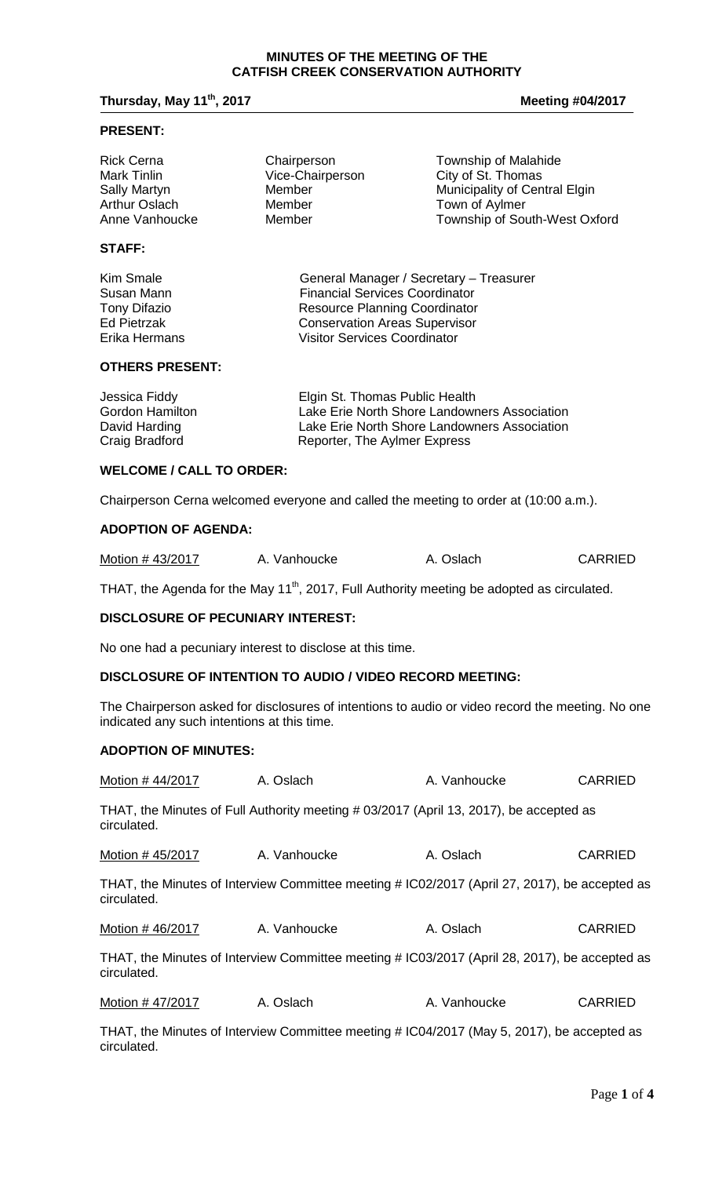#### **MINUTES OF THE MEETING OF THE CATFISH CREEK CONSERVATION AUTHORITY**

# **Thursday, May 11<sup>th</sup>, 2017 Meeting #04/2017 Meeting #04/2017**

# **PRESENT:**

| <b>Rick Cerna</b>    | Chairperson      | Township of Malahide          |
|----------------------|------------------|-------------------------------|
| Mark Tinlin          | Vice-Chairperson | City of St. Thomas            |
| <b>Sally Martyn</b>  | Member           | Municipality of Central Elgin |
| <b>Arthur Oslach</b> | Member           | Town of Aylmer                |
| Anne Vanhoucke       | Member           | Township of South-West Oxford |
|                      |                  |                               |

# **STAFF:**

Kim Smale General Manager / Secretary – Treasurer Susan Mann Financial Services Coordinator<br>
Tony Difazio **Francial Services Coordinator**<br>
Resource Planning Coordinator Tony Difazio **Resource Planning Coordinator**<br>
Ed Pietrzak **Resource Conservation Areas Supervisor** Ed Pietrzak **Conservation Areas Supervisor**<br>
Erika Hermans **Conservation Areas Supervisor**<br>
Visitor Services Coordinator Visitor Services Coordinator

#### **OTHERS PRESENT:**

| Jessica Fiddy   | Elgin St. Thomas Public Health               |
|-----------------|----------------------------------------------|
| Gordon Hamilton | Lake Erie North Shore Landowners Association |
| David Harding   | Lake Erie North Shore Landowners Association |
| Craig Bradford  | Reporter, The Aylmer Express                 |

# **WELCOME / CALL TO ORDER:**

Chairperson Cerna welcomed everyone and called the meeting to order at (10:00 a.m.).

# **ADOPTION OF AGENDA:**

| Motion #43/2017 | A. Vanhoucke | A. Oslach | <b>CARRIED</b> |
|-----------------|--------------|-----------|----------------|
|-----------------|--------------|-----------|----------------|

THAT, the Agenda for the May 11<sup>th</sup>, 2017, Full Authority meeting be adopted as circulated.

# **DISCLOSURE OF PECUNIARY INTEREST:**

No one had a pecuniary interest to disclose at this time.

## **DISCLOSURE OF INTENTION TO AUDIO / VIDEO RECORD MEETING:**

The Chairperson asked for disclosures of intentions to audio or video record the meeting. No one indicated any such intentions at this time.

# **ADOPTION OF MINUTES:**

| Motion # 44/2017 | A. Oslach                                                                                     | A. Vanhoucke | <b>CARRIED</b> |
|------------------|-----------------------------------------------------------------------------------------------|--------------|----------------|
| circulated.      | THAT, the Minutes of Full Authority meeting # 03/2017 (April 13, 2017), be accepted as        |              |                |
| Motion # 45/2017 | A. Vanhoucke                                                                                  | A. Oslach    | <b>CARRIED</b> |
| circulated.      | THAT, the Minutes of Interview Committee meeting # IC02/2017 (April 27, 2017), be accepted as |              |                |
| Motion # 46/2017 | A. Vanhoucke                                                                                  | A. Oslach    | <b>CARRIED</b> |
| circulated.      | THAT, the Minutes of Interview Committee meeting # IC03/2017 (April 28, 2017), be accepted as |              |                |
| Motion # 47/2017 | A. Oslach                                                                                     | A. Vanhoucke | <b>CARRIED</b> |
|                  |                                                                                               |              |                |

THAT, the Minutes of Interview Committee meeting # IC04/2017 (May 5, 2017), be accepted as circulated.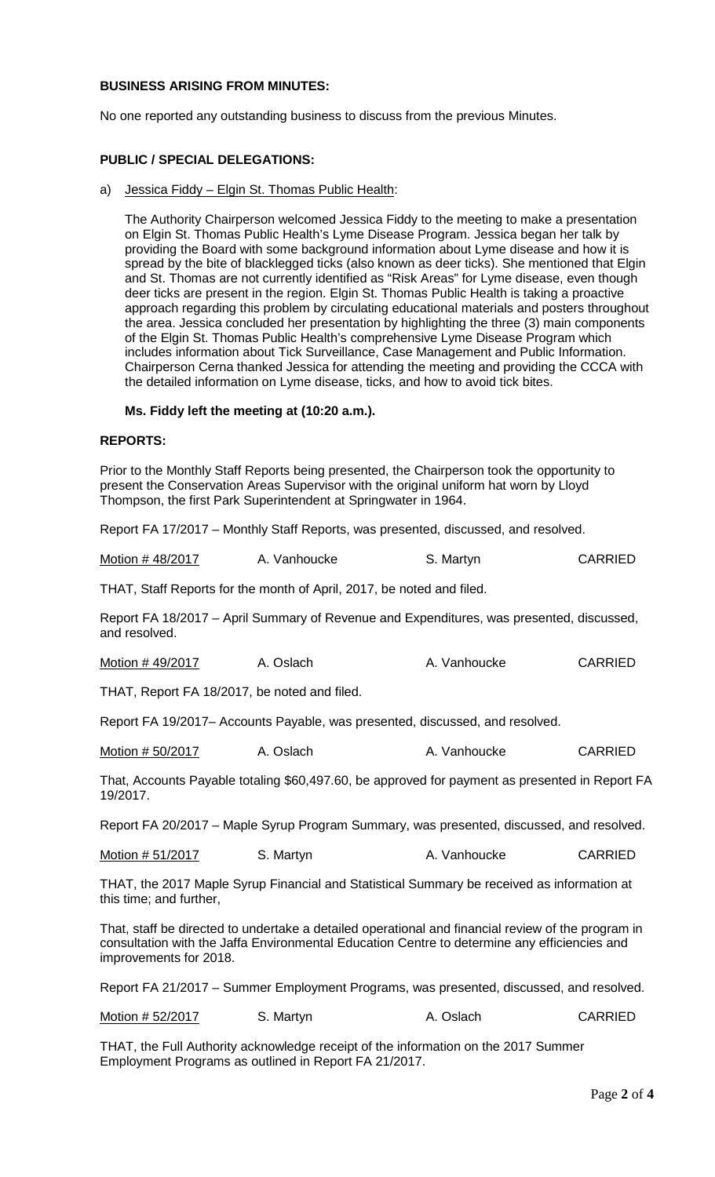# **BUSINESS ARISING FROM MINUTES:**

No one reported any outstanding business to discuss from the previous Minutes.

# **PUBLIC / SPECIAL DELEGATIONS:**

a) Jessica Fiddy – Elgin St. Thomas Public Health:

The Authority Chairperson welcomed Jessica Fiddy to the meeting to make a presentation on Elgin St. Thomas Public Health's Lyme Disease Program. Jessica began her talk by providing the Board with some background information about Lyme disease and how it is spread by the bite of blacklegged ticks (also known as deer ticks). She mentioned that Elgin and St. Thomas are not currently identified as "Risk Areas" for Lyme disease, even though deer ticks are present in the region. Elgin St. Thomas Public Health is taking a proactive approach regarding this problem by circulating educational materials and posters throughout the area. Jessica concluded her presentation by highlighting the three (3) main components of the Elgin St. Thomas Public Health's comprehensive Lyme Disease Program which includes information about Tick Surveillance, Case Management and Public Information. Chairperson Cerna thanked Jessica for attending the meeting and providing the CCCA with the detailed information on Lyme disease, ticks, and how to avoid tick bites.

# **Ms. Fiddy left the meeting at (10:20 a.m.).**

## **REPORTS:**

Prior to the Monthly Staff Reports being presented, the Chairperson took the opportunity to present the Conservation Areas Supervisor with the original uniform hat worn by Lloyd Thompson, the first Park Superintendent at Springwater in 1964.

Report FA 17/2017 – Monthly Staff Reports, was presented, discussed, and resolved.

| Motion #48/2017 | A. Vanhoucke | S. Martyn | <b>CARRIED</b> |
|-----------------|--------------|-----------|----------------|
|-----------------|--------------|-----------|----------------|

THAT, Staff Reports for the month of April, 2017, be noted and filed.

Report FA 18/2017 – April Summary of Revenue and Expenditures, was presented, discussed, and resolved.

| Motion #49/2017 | A. Oslach | A. Vanhoucke | <b>CARRIED</b> |
|-----------------|-----------|--------------|----------------|
|-----------------|-----------|--------------|----------------|

THAT, Report FA 18/2017, be noted and filed.

Report FA 19/2017– Accounts Payable, was presented, discussed, and resolved.

Motion # 50/2017 A. Oslach A. Vanhoucke CARRIED

That, Accounts Payable totaling \$60,497.60, be approved for payment as presented in Report FA 19/2017.

Report FA 20/2017 – Maple Syrup Program Summary, was presented, discussed, and resolved.

Motion # 51/2017 S. Martyn **CARRIED** A. Vanhoucke CARRIED

THAT, the 2017 Maple Syrup Financial and Statistical Summary be received as information at this time; and further,

That, staff be directed to undertake a detailed operational and financial review of the program in consultation with the Jaffa Environmental Education Centre to determine any efficiencies and improvements for 2018.

Report FA 21/2017 – Summer Employment Programs, was presented, discussed, and resolved.

| Motion # 52/2017 | S. Martyn | A. Oslach | <b>CARRIED</b> |
|------------------|-----------|-----------|----------------|
|------------------|-----------|-----------|----------------|

THAT, the Full Authority acknowledge receipt of the information on the 2017 Summer Employment Programs as outlined in Report FA 21/2017.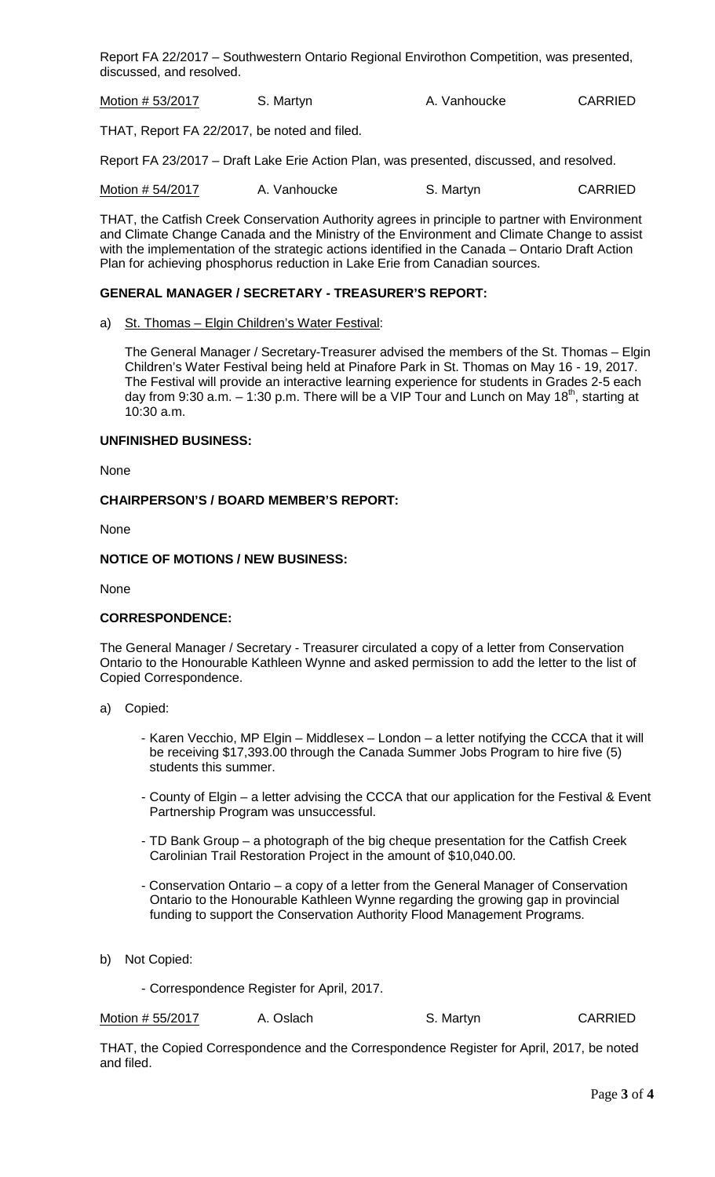Report FA 22/2017 – Southwestern Ontario Regional Envirothon Competition, was presented, discussed, and resolved.

Motion # 53/2017 S. Martyn CARRIED

THAT, Report FA 22/2017, be noted and filed.

Report FA 23/2017 – Draft Lake Erie Action Plan, was presented, discussed, and resolved.

Motion # 54/2017 A. Vanhoucke S. Martyn S. Martyn

THAT, the Catfish Creek Conservation Authority agrees in principle to partner with Environment and Climate Change Canada and the Ministry of the Environment and Climate Change to assist with the implementation of the strategic actions identified in the Canada – Ontario Draft Action Plan for achieving phosphorus reduction in Lake Erie from Canadian sources.

# **GENERAL MANAGER / SECRETARY - TREASURER'S REPORT:**

a) St. Thomas – Elgin Children's Water Festival:

The General Manager / Secretary-Treasurer advised the members of the St. Thomas – Elgin Children's Water Festival being held at Pinafore Park in St. Thomas on May 16 - 19, 2017. The Festival will provide an interactive learning experience for students in Grades 2-5 each day from 9:30 a.m.  $-$  1:30 p.m. There will be a VIP Tour and Lunch on May 18<sup>th</sup>, starting at 10:30 a.m.

# **UNFINISHED BUSINESS:**

None

## **CHAIRPERSON'S / BOARD MEMBER'S REPORT:**

None

## **NOTICE OF MOTIONS / NEW BUSINESS:**

None

# **CORRESPONDENCE:**

The General Manager / Secretary - Treasurer circulated a copy of a letter from Conservation Ontario to the Honourable Kathleen Wynne and asked permission to add the letter to the list of Copied Correspondence.

- a) Copied:
	- Karen Vecchio, MP Elgin Middlesex London a letter notifying the CCCA that it will be receiving \$17,393.00 through the Canada Summer Jobs Program to hire five (5) students this summer.
	- County of Elgin a letter advising the CCCA that our application for the Festival & Event Partnership Program was unsuccessful.
	- TD Bank Group a photograph of the big cheque presentation for the Catfish Creek Carolinian Trail Restoration Project in the amount of \$10,040.00.
	- Conservation Ontario a copy of a letter from the General Manager of Conservation Ontario to the Honourable Kathleen Wynne regarding the growing gap in provincial funding to support the Conservation Authority Flood Management Programs.
- b) Not Copied:

- Correspondence Register for April, 2017.

Motion # 55/2017 A. Oslach S. Martyn S. Martyn

THAT, the Copied Correspondence and the Correspondence Register for April, 2017, be noted and filed.